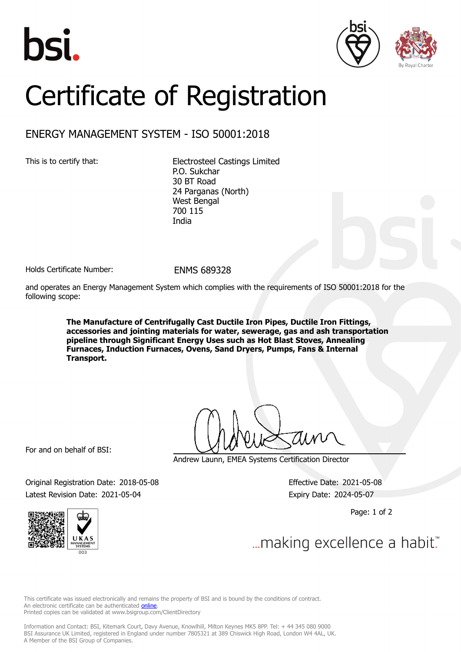





## Certificate of Registration

## ENERGY MANAGEMENT SYSTEM - ISO 50001:2018

This is to certify that: Electrosteel Castings Limited P.O. Sukchar 30 BT Road 24 Parganas (North) West Bengal 700 115 India

Holds Certificate Number: FNMS 689328

and operates an Energy Management System which complies with the requirements of ISO 50001:2018 for the following scope:

> **The Manufacture of Centrifugally Cast Ductile Iron Pipes, Ductile Iron Fittings, accessories and jointing materials for water, sewerage, gas and ash transportation pipeline through Significant Energy Uses such as Hot Blast Stoves, Annealing Furnaces, Induction Furnaces, Ovens, Sand Dryers, Pumps, Fans & Internal Transport.**

For and on behalf of BSI:

Andrew Launn, EMEA Systems Certification Director

Original Registration Date: 2018-05-08 Effective Date: 2021-05-08 Latest Revision Date: 2021-05-04 Expiry Date: 2024-05-07

Page: 1 of 2



... making excellence a habit."

This certificate was issued electronically and remains the property of BSI and is bound by the conditions of contract. An electronic certificate can be authenticated **[online](https://pgplus.bsigroup.com/CertificateValidation/CertificateValidator.aspx?CertificateNumber=ENMS+689328&ReIssueDate=04%2f05%2f2021&Template=uk)**. Printed copies can be validated at www.bsigroup.com/ClientDirectory

Information and Contact: BSI, Kitemark Court, Davy Avenue, Knowlhill, Milton Keynes MK5 8PP. Tel: + 44 345 080 9000 BSI Assurance UK Limited, registered in England under number 7805321 at 389 Chiswick High Road, London W4 4AL, UK. A Member of the BSI Group of Companies.